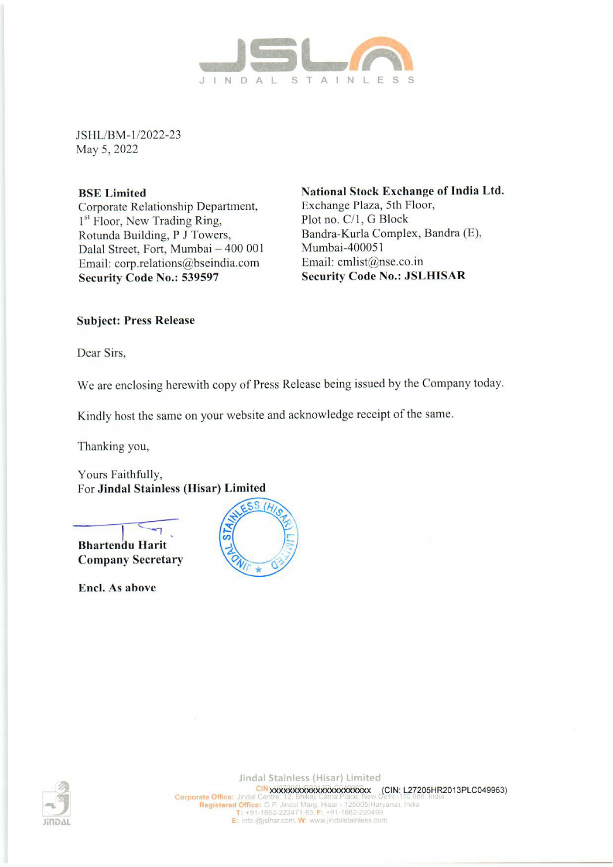

JSHL/BM-1/2022-23 May 5, 2022

Corporate Relationship Department, Exchange Plaza, 5th Floor, 1<sup>st</sup> Floor, New Trading Ring, Plot no. C/1, G Block<br>Rotunda Building. P J Towers. Bandra-Kurla Complex, Bandra (E), Rotunda Building, P J Towers, Dalal Street, Fort, Mumbai - 400 001 Mumbai-400051 Email: corp.relations@bseindia.com Email: cmlist@nse.co.in Security Code No.: 539597 Security Code No.: JSLHISAR

BSE Limited National Stock Exchange of India Ltd.

# Subject: Press Release

Dear Sirs,

We are enclosing herewith copy of Press Release being issued by the Company today.

Kindly host the same on your website and acknowledge receipt of the same.

Thanking you,

Yours Faithfully, For Jindal Stainless (Hisar) Limited



Encl. As above



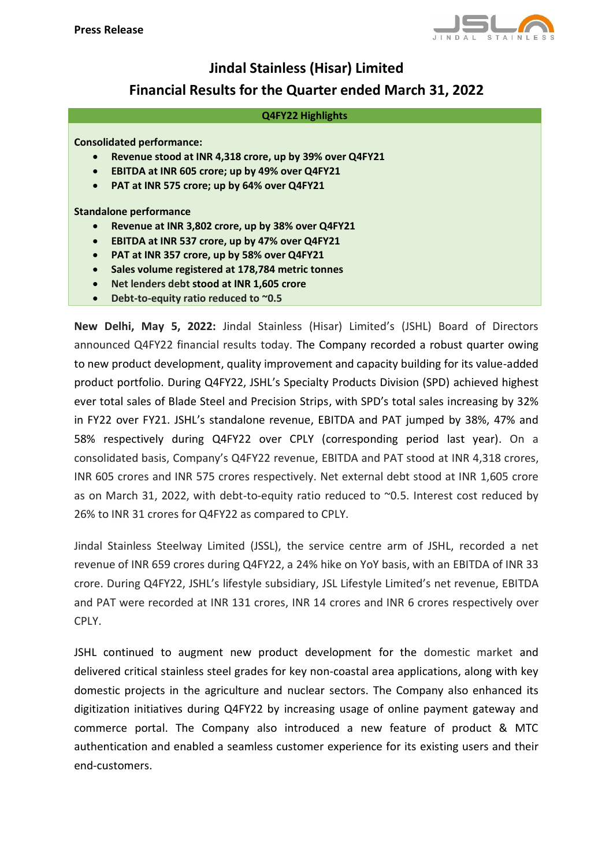

# **Jindal Stainless (Hisar) Limited Financial Results for the Quarter ended March 31, 2022**

#### **Q4FY22 Highlights**

### **Consolidated performance:**

- **Revenue stood at INR 4,318 crore, up by 39% over Q4FY21**
- **EBITDA at INR 605 crore; up by 49% over Q4FY21**
- **PAT at INR 575 crore; up by 64% over Q4FY21**

**Standalone performance**

- **Revenue at INR 3,802 crore, up by 38% over Q4FY21**
- **EBITDA at INR 537 crore, up by 47% over Q4FY21**
- **PAT at INR 357 crore, up by 58% over Q4FY21**
- **Sales volume registered at 178,784 metric tonnes**
- **Net lenders debt stood at INR 1,605 crore**
- **Debt-to-equity ratio reduced to ~0.5**

**New Delhi, May 5, 2022:** Jindal Stainless (Hisar) Limited's (JSHL) Board of Directors announced Q4FY22 financial results today. The Company recorded a robust quarter owing to new product development, quality improvement and capacity building for its value-added product portfolio. During Q4FY22, JSHL's Specialty Products Division (SPD) achieved highest ever total sales of Blade Steel and Precision Strips, with SPD's total sales increasing by 32% in FY22 over FY21. JSHL's standalone revenue, EBITDA and PAT jumped by 38%, 47% and 58% respectively during Q4FY22 over CPLY (corresponding period last year). On a consolidated basis, Company's Q4FY22 revenue, EBITDA and PAT stood at INR 4,318 crores, INR 605 crores and INR 575 crores respectively. Net external debt stood at INR 1,605 crore as on March 31, 2022, with debt-to-equity ratio reduced to ~0.5. Interest cost reduced by 26% to INR 31 crores for Q4FY22 as compared to CPLY.

Jindal Stainless Steelway Limited (JSSL), the service centre arm of JSHL, recorded a net revenue of INR 659 crores during Q4FY22, a 24% hike on YoY basis, with an EBITDA of INR 33 crore. During Q4FY22, JSHL's lifestyle subsidiary, JSL Lifestyle Limited's net revenue, EBITDA and PAT were recorded at INR 131 crores, INR 14 crores and INR 6 crores respectively over CPLY.

JSHL continued to augment new product development for the domestic market and delivered critical stainless steel grades for key non-coastal area applications, along with key domestic projects in the agriculture and nuclear sectors. The Company also enhanced its digitization initiatives during Q4FY22 by increasing usage of online payment gateway and commerce portal. The Company also introduced a new feature of product & MTC authentication and enabled a seamless customer experience for its existing users and their end-customers.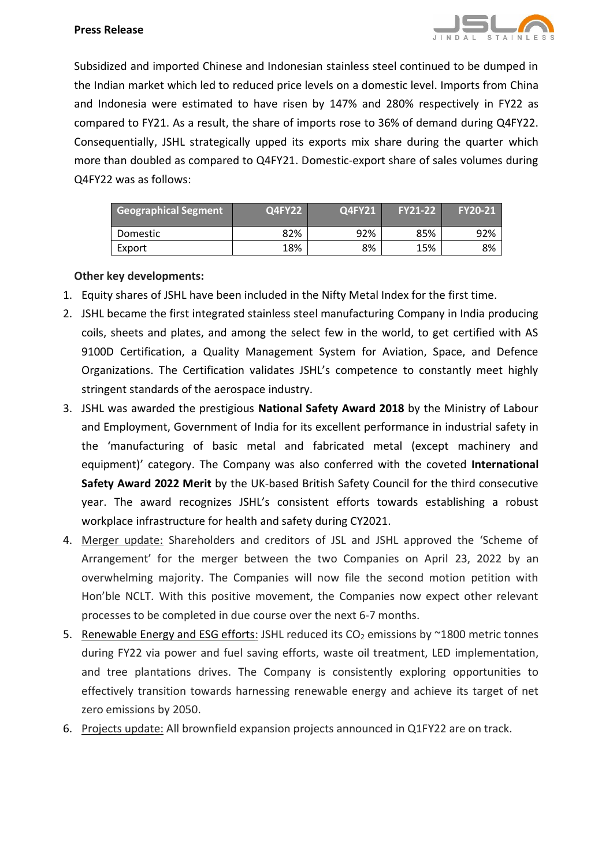

Subsidized and imported Chinese and Indonesian stainless steel continued to be dumped in the Indian market which led to reduced price levels on a domestic level. Imports from China and Indonesia were estimated to have risen by 147% and 280% respectively in FY22 as compared to FY21. As a result, the share of imports rose to 36% of demand during Q4FY22. Consequentially, JSHL strategically upped its exports mix share during the quarter which more than doubled as compared to Q4FY21. Domestic-export share of sales volumes during Q4FY22 was as follows:

| <b>Geographical Segment</b> | Q4FY22 | <b>Q4FY21</b> | <b>FY21-22</b> | <b>FY20-21</b> |
|-----------------------------|--------|---------------|----------------|----------------|
| Domestic                    | 82%    | 92%           | 85%            | 92%            |
| Export                      | 18%    | 8%            | 15%            | 8%             |

# **Other key developments:**

- 1. Equity shares of JSHL have been included in the Nifty Metal Index for the first time.
- 2. JSHL became the first integrated stainless steel manufacturing Company in India producing coils, sheets and plates, and among the select few in the world, to get certified with AS 9100D Certification, a Quality Management System for Aviation, Space, and Defence Organizations. The Certification validates JSHL's competence to constantly meet highly stringent standards of the aerospace industry.
- 3. JSHL was awarded the prestigious **National Safety Award 2018** by the Ministry of Labour and Employment, Government of India for its excellent performance in industrial safety in the 'manufacturing of basic metal and fabricated metal (except machinery and equipment)' category. The Company was also conferred with the coveted **International Safety Award 2022 Merit** by the UK-based British Safety Council for the third consecutive year. The award recognizes JSHL's consistent efforts towards establishing a robust workplace infrastructure for health and safety during CY2021.
- 4. Merger update: Shareholders and creditors of JSL and JSHL approved the 'Scheme of Arrangement' for the merger between the two Companies on April 23, 2022 by an overwhelming majority. The Companies will now file the second motion petition with Hon'ble NCLT. With this positive movement, the Companies now expect other relevant processes to be completed in due course over the next 6-7 months.
- 5. Renewable Energy and ESG efforts: JSHL reduced its  $CO<sub>2</sub>$  emissions by  $\sim$ 1800 metric tonnes during FY22 via power and fuel saving efforts, waste oil treatment, LED implementation, and tree plantations drives. The Company is consistently exploring opportunities to effectively transition towards harnessing renewable energy and achieve its target of net zero emissions by 2050.
- 6. Projects update: All brownfield expansion projects announced in Q1FY22 are on track.